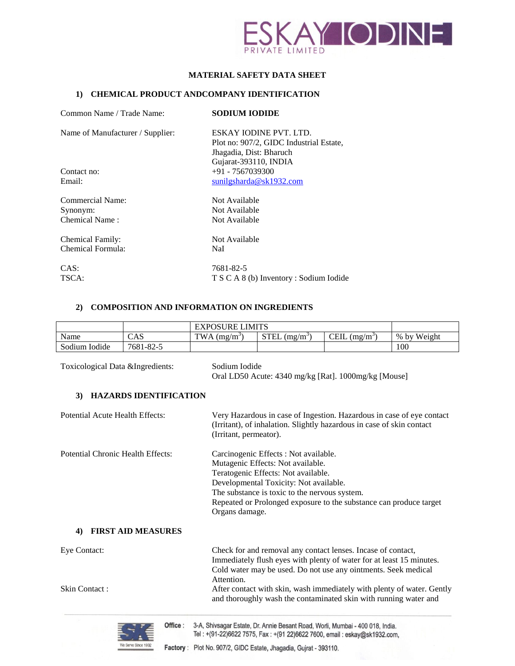

# **MATERIAL SAFETY DATA SHEET**

## **1) CHEMICAL PRODUCT ANDCOMPANY IDENTIFICATION**

| Common Name / Trade Name:        | <b>SODIUM IODIDE</b>                    |
|----------------------------------|-----------------------------------------|
| Name of Manufacturer / Supplier: | ESKAY JODINE PVT. LTD.                  |
|                                  | Plot no: 907/2, GIDC Industrial Estate, |
|                                  | Jhagadia, Dist: Bharuch                 |
|                                  | Gujarat-393110, INDIA                   |
| Contact no:                      | $+91 - 7567039300$                      |
| Email:                           | sunilgsharda@sk1932.com                 |
| Commercial Name:                 | Not Available                           |
| Synonym:                         | Not Available                           |
| Chemical Name:                   | Not Available                           |
| Chemical Family:                 | Not Available                           |
| Chemical Formula:                | NaI                                     |
| CAS:                             | 7681-82-5                               |
| TSCA:                            | T S C A 8 (b) Inventory : Sodium Iodide |

## **2) COMPOSITION AND INFORMATION ON INGREDIENTS**

|                                          |                               | <b>EXPOSURE LIMITS</b> |                                                                                                                                                                                                              |                                                                                                                                                                                                        |             |
|------------------------------------------|-------------------------------|------------------------|--------------------------------------------------------------------------------------------------------------------------------------------------------------------------------------------------------------|--------------------------------------------------------------------------------------------------------------------------------------------------------------------------------------------------------|-------------|
| Name                                     | CAS                           | TWA $(mg/m^3)$         | $STEL$ (mg/m <sup>3</sup> )                                                                                                                                                                                  | CEIL $(mg/m^3)$                                                                                                                                                                                        | % by Weight |
| Sodium Iodide                            | 7681-82-5                     |                        |                                                                                                                                                                                                              |                                                                                                                                                                                                        | 100         |
| Toxicological Data &Ingredients:<br>3)   | <b>HAZARDS IDENTIFICATION</b> | Sodium Iodide          |                                                                                                                                                                                                              | Oral LD50 Acute: 4340 mg/kg [Rat]. 1000mg/kg [Mouse]                                                                                                                                                   |             |
| Potential Acute Health Effects:          |                               | (Irritant, permeator). |                                                                                                                                                                                                              | Very Hazardous in case of Ingestion. Hazardous in case of eye contact<br>(Irritant), of inhalation. Slightly hazardous in case of skin contact                                                         |             |
| <b>Potential Chronic Health Effects:</b> |                               | Organs damage.         | Carcinogenic Effects : Not available.<br>Mutagenic Effects: Not available.<br>Teratogenic Effects: Not available.<br>Developmental Toxicity: Not available.<br>The substance is toxic to the nervous system. | Repeated or Prolonged exposure to the substance can produce target                                                                                                                                     |             |
| 4)                                       | <b>FIRST AID MEASURES</b>     |                        |                                                                                                                                                                                                              |                                                                                                                                                                                                        |             |
| Eye Contact:                             |                               |                        |                                                                                                                                                                                                              | Check for and removal any contact lenses. Incase of contact,<br>Immediately flush eyes with plenty of water for at least 15 minutes.<br>Cold water may be used. Do not use any ointments. Seek medical |             |

Skin Contact : After contact with skin, wash immediately with plenty of water. Gently



and thoroughly wash the contaminated skin with running water and

Attention.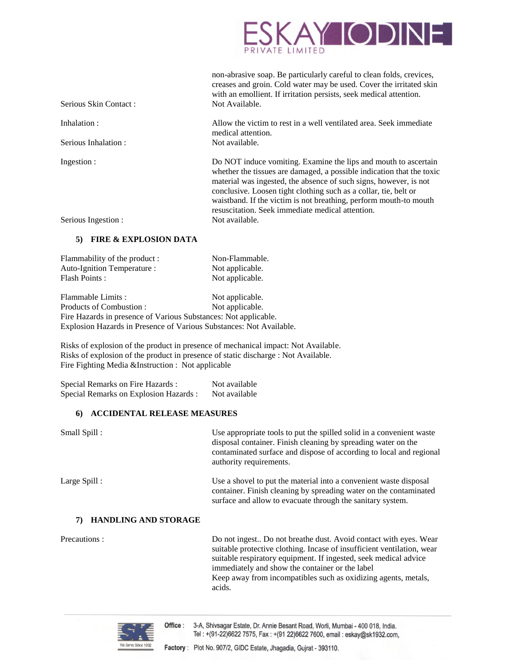

| Serious Skin Contact: | non-abrasive soap. Be particularly careful to clean folds, crevices,<br>creases and groin. Cold water may be used. Cover the irritated skin<br>with an emollient. If irritation persists, seek medical attention.<br>Not Available.                                                                                                                                                                        |
|-----------------------|------------------------------------------------------------------------------------------------------------------------------------------------------------------------------------------------------------------------------------------------------------------------------------------------------------------------------------------------------------------------------------------------------------|
| Inhalation :          | Allow the victim to rest in a well ventilated area. Seek immediate<br>medical attention.                                                                                                                                                                                                                                                                                                                   |
| Serious Inhalation:   | Not available.                                                                                                                                                                                                                                                                                                                                                                                             |
| Ingestion :           | Do NOT induce vomiting. Examine the lips and mouth to ascertain<br>whether the tissues are damaged, a possible indication that the toxic<br>material was ingested, the absence of such signs, however, is not<br>conclusive. Loosen tight clothing such as a collar, tie, belt or<br>waistband. If the victim is not breathing, perform mouth-to mouth<br>resuscitation. Seek immediate medical attention. |
| Serious Ingestion :   | Not available.                                                                                                                                                                                                                                                                                                                                                                                             |

### **5) FIRE & EXPLOSION DATA**

| Flammability of the product : | Non-Flammable.  |
|-------------------------------|-----------------|
| Auto-Ignition Temperature :   | Not applicable. |
| <b>Flash Points:</b>          | Not applicable. |

Flammable Limits : Not applicable. Products of Combustion : Not applicable. Fire Hazards in presence of Various Substances: Not applicable. Explosion Hazards in Presence of Various Substances: Not Available.

Risks of explosion of the product in presence of mechanical impact: Not Available. Risks of explosion of the product in presence of static discharge : Not Available. Fire Fighting Media &Instruction : Not applicable

| Special Remarks on Fire Hazards:       | Not available |
|----------------------------------------|---------------|
| Special Remarks on Explosion Hazards : | Not available |

#### **6) ACCIDENTAL RELEASE MEASURES**

| Small Spill:                | Use appropriate tools to put the spilled solid in a convenient waste<br>disposal container. Finish cleaning by spreading water on the<br>contaminated surface and dispose of according to local and regional<br>authority requirements.                           |
|-----------------------------|-------------------------------------------------------------------------------------------------------------------------------------------------------------------------------------------------------------------------------------------------------------------|
| Large Spill :               | Use a shovel to put the material into a convenient waste disposal<br>container. Finish cleaning by spreading water on the contaminated<br>surface and allow to evacuate through the sanitary system.                                                              |
| <b>HANDLING AND STORAGE</b> |                                                                                                                                                                                                                                                                   |
| Precautions:                | Do not ingest Do not breathe dust. Avoid contact with eyes. Wear<br>suitable protective clothing. Incase of insufficient ventilation, wear<br>suitable respiratory equipment. If ingested, seek medical advice<br>immediately and show the container or the label |

Keep away from incompatibles such as oxidizing agents, metals, acids.

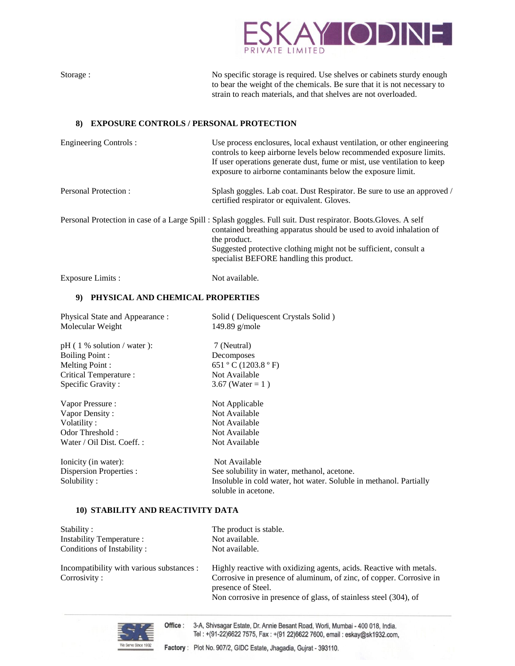

| Storage :                                            | No specific storage is required. Use shelves or cabinets sturdy enough<br>to bear the weight of the chemicals. Be sure that it is not necessary to<br>strain to reach materials, and that shelves are not overloaded.                                                                    |
|------------------------------------------------------|------------------------------------------------------------------------------------------------------------------------------------------------------------------------------------------------------------------------------------------------------------------------------------------|
| <b>EXPOSURE CONTROLS / PERSONAL PROTECTION</b><br>8) |                                                                                                                                                                                                                                                                                          |
| Engineering Controls :                               | Use process enclosures, local exhaust ventilation, or other engineering<br>controls to keep airborne levels below recommended exposure limits.<br>If user operations generate dust, fume or mist, use ventilation to keep<br>exposure to airborne contaminants below the exposure limit. |

Personal Protection : Splash goggles. Lab coat. Dust Respirator. Be sure to use an approved / certified respirator or equivalent. Gloves.

Personal Protection in case of a Large Spill : Splash goggles. Full suit. Dust respirator. Boots.Gloves. A self contained breathing apparatus should be used to avoid inhalation of the product. Suggested protective clothing might not be sufficient, consult a specialist BEFORE handling this product.

Exposure Limits : Not available.

# **9) PHYSICAL AND CHEMICAL PROPERTIES**

| Physical State and Appearance :<br>Molecular Weight | Solid (Deliquescent Crystals Solid)<br>149.89 $g/mole$                                    |
|-----------------------------------------------------|-------------------------------------------------------------------------------------------|
| $pH(1\%$ solution / water ):                        | 7 (Neutral)                                                                               |
| <b>Boiling Point:</b>                               | Decomposes                                                                                |
| Melting Point:                                      | 651 °C (1203.8 °F)                                                                        |
| Critical Temperature:                               | Not Available                                                                             |
| Specific Gravity:                                   | 3.67 (Water = 1)                                                                          |
| Vapor Pressure :                                    | Not Applicable                                                                            |
| Vapor Density:                                      | Not Available                                                                             |
| Volatility:                                         | Not Available                                                                             |
| Odor Threshold:                                     | Not Available                                                                             |
| Water / Oil Dist. Coeff. :                          | Not Available                                                                             |
| Ionicity (in water):                                | Not Available                                                                             |
| Dispersion Properties :                             | See solubility in water, methanol, acetone.                                               |
| Solubility:                                         | Insoluble in cold water, hot water. Soluble in methanol. Partially<br>soluble in acetone. |

## **10) STABILITY AND REACTIVITY DATA**

| Stability:                                | The product is stable.                                                                    |
|-------------------------------------------|-------------------------------------------------------------------------------------------|
| Instability Temperature :                 | Not available.                                                                            |
| Conditions of Instability:                | Not available.                                                                            |
| Incompatibility with various substances : | Highly reactive with oxidizing agents, acids. Reactive with metals.                       |
| Corrosivity:                              | Corrosive in presence of aluminum, of zinc, of copper. Corrosive in<br>presence of Steel. |
|                                           | Non corrosive in presence of glass, of stainless steel (304), of                          |



Office: 3-A, Shivsagar Estate, Dr. Annie Besant Road, Worli, Mumbai - 400 018, India. Tel: +(91-22)6622 7575, Fax: +(91 22)6622 7600, email: eskay@sk1932.com,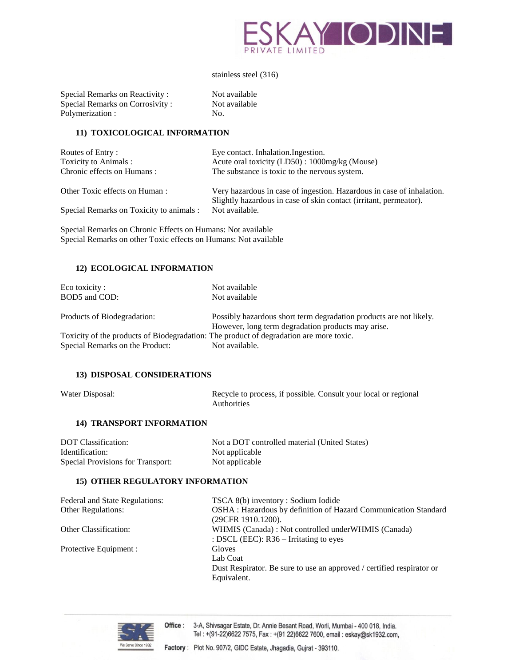

stainless steel (316)

Not available Not available

| Special Remarks on Reactivity:  | Not |
|---------------------------------|-----|
| Special Remarks on Corrosivity: | Not |
| Polymerization:                 | No. |

#### **11) TOXICOLOGICAL INFORMATION**

| Routes of Entry:                         | Eye contact. Inhalation. Ingestion.                                                                                                        |
|------------------------------------------|--------------------------------------------------------------------------------------------------------------------------------------------|
| Toxicity to Animals :                    | Acute oral toxicity (LD50) : 1000mg/kg (Mouse)                                                                                             |
| Chronic effects on Humans:               | The substance is toxic to the nervous system.                                                                                              |
| Other Toxic effects on Human:            | Very hazardous in case of ingestion. Hazardous in case of inhalation.<br>Slightly hazardous in case of skin contact (irritant, permeator). |
| Special Remarks on Toxicity to animals : | Not available.                                                                                                                             |
|                                          |                                                                                                                                            |

Special Remarks on Chronic Effects on Humans: Not available Special Remarks on other Toxic effects on Humans: Not available

#### **12) ECOLOGICAL INFORMATION**

| Eco toxicity :                                                                         | Not available                                                                                                            |
|----------------------------------------------------------------------------------------|--------------------------------------------------------------------------------------------------------------------------|
| BOD5 and COD:                                                                          | Not available                                                                                                            |
| Products of Biodegradation:                                                            | Possibly hazardous short term degradation products are not likely.<br>However, long term degradation products may arise. |
| Toxicity of the products of Biodegradation: The product of degradation are more toxic. |                                                                                                                          |
| Special Remarks on the Product:                                                        | Not available.                                                                                                           |

#### **13) DISPOSAL CONSIDERATIONS**

Water Disposal: Recycle to process, if possible. Consult your local or regional Authorities

### **14) TRANSPORT INFORMATION**

| DOT Classification:               | Not a DOT controlled material (United States) |
|-----------------------------------|-----------------------------------------------|
| Identification:                   | Not applicable                                |
| Special Provisions for Transport: | Not applicable                                |

# **15) OTHER REGULATORY INFORMATION**

| Federal and State Regulations: | TSCA 8(b) inventory : Sodium Iodide                                       |
|--------------------------------|---------------------------------------------------------------------------|
| <b>Other Regulations:</b>      | OSHA: Hazardous by definition of Hazard Communication Standard            |
| <b>Other Classification:</b>   | (29CFR 1910.1200).<br>WHMIS (Canada): Not controlled under WHMIS (Canada) |
|                                | : DSCL (EEC): $R36$ – Irritating to eyes                                  |
| Protective Equipment :         | Gloves                                                                    |
|                                | Lab Coat                                                                  |
|                                | Dust Respirator. Be sure to use an approved / certified respirator or     |
|                                | Equivalent.                                                               |